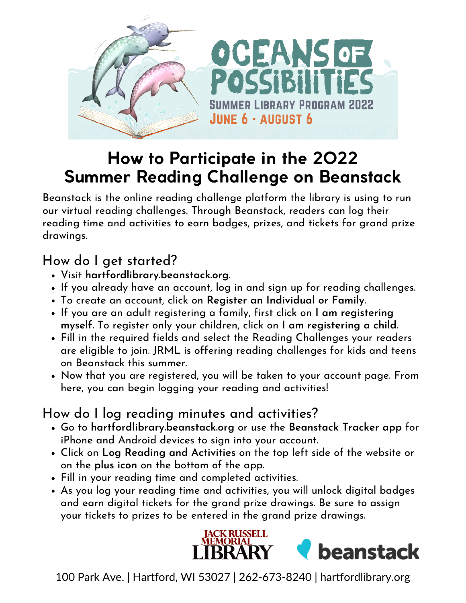

# **How to Participate in the 2022 Summer Reading Challenge on Beanstack**

Beanstack is the online reading challenge platform the library is using to run our virtual reading challenges. Through Beanstack, readers can log their reading time and activities to earn badges, prizes, and tickets for grand prize drawings.

#### How do I get started?

- Visit **hartfordlibrary.beanstack.org**.
- If you already have an account, log in and sign up for reading challenges.
- To create an account, click on **Register an Individual or Family**.
- If you are an adult registering a family, first click on **I am registering myself***.* To register only your children, click on **I am registering a child**.
- Fill in the required fields and select the Reading Challenges your readers are eligible to join. JRML is offering reading challenges for kids and teens on Beanstack this summer.
- Now that you are registered, you will be taken to your account page. From here, you can begin logging your reading and activities!

### How do I log reading minutes and activities?

- Go to **hartfordlibrary.beanstack.org** or use the **Beanstack Tracker app** for iPhone and Android devices to sign into your account.
- Click on **Log Reading and Activities** on the top left side of the website or on the **plus icon** on the bottom of the app.
- Fill in your reading time and completed activities.
- As you log your reading time and activities, you will unlock digital badges and earn digital tickets for the grand prize drawings. Be sure to assign your tickets to prizes to be entered in the grand prize drawings.



100 Park Ave. | Hartford, WI 53027 | 262-673-8240 | hartfordlibrary.org